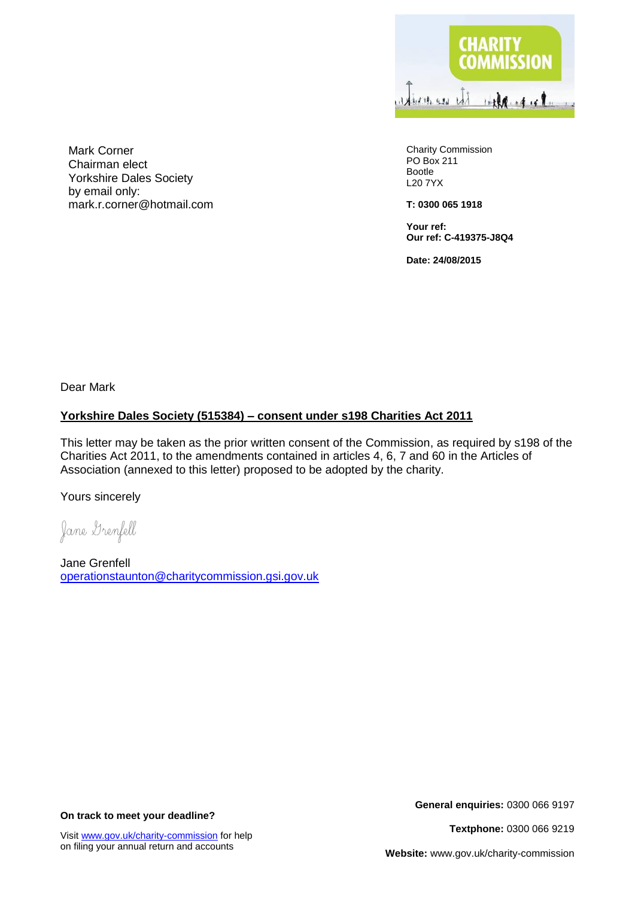

Charity Commission PO Box 211 Bootle L20 7YX

**T: 0300 065 1918**

**Your ref: Our ref: C-419375-J8Q4**

**Date: 24/08/2015**

Mark Corner Chairman elect Yorkshire Dales Society by email only: mark.r.corner@hotmail.com

Dear Mark

## **Yorkshire Dales Society (515384) – consent under s198 Charities Act 2011**

This letter may be taken as the prior written consent of the Commission, as required by s198 of the Charities Act 2011, to the amendments contained in articles 4, 6, 7 and 60 in the Articles of Association (annexed to this letter) proposed to be adopted by the charity.

Yours sincerely

Jane Grenfell

Jane Grenfell [operationstaunton@charitycommission.gsi.gov.uk](mailto:operationstaunton@charitycommission.gsi.gov.uk)

**On track to meet your deadline?**

**General enquiries:** 0300 066 9197

**Textphone:** 0300 066 9219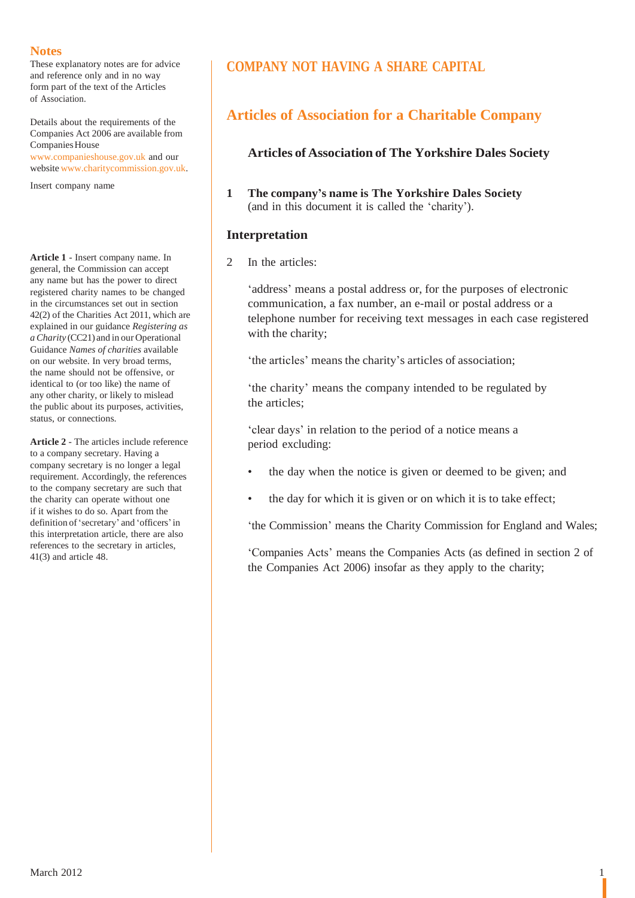These explanatory notes are for advice and reference only and in no way form part of the text of the Articles of Association.

Details about the requirements of the Companies Act 2006 are available from Companies House [www.companieshouse.gov.uk](http://www.companieshouse.gov.uk/) and our

website [www.charitycommission.gov.uk.](http://www.charitycommission.gov.uk/)

Insert company name

**Article 1** - Insert company name. In general, the Commission can accept any name but has the power to direct registered charity names to be changed in the circumstances set out in section 42(2) of the Charities Act 2011, which are explained in our guidance *Registering as aCharity* (CC21) and in our Operational Guidance *Names of charities* available on our website. In very broad terms, the name should not be offensive, or identical to (or too like) the name of any other charity, or likely to mislead the public about its purposes, activities, status, or connections.

**Article 2** - The articles include reference to a company secretary. Having a company secretary is no longer a legal requirement. Accordingly, the references to the company secretary are such that the charity can operate without one if it wishes to do so. Apart from the definition of'secretary' and 'officers'in this interpretation article, there are also references to the secretary in articles, 41(3) and article 48.

# **COMPANY NOT HAVING A SHARE CAPITAL**

# **Articles of Association for a Charitable Company**

## **Articles of Association of The Yorkshire Dales Society**

**1 The company's name is The Yorkshire Dales Society** (and in this document it is called the 'charity').

## **Interpretation**

2 In the articles:

'address' means a postal address or, for the purposes of electronic communication, a fax number, an e-mail or postal address or a telephone number for receiving text messages in each case registered with the charity;

'the articles' means the charity's articles of association;

'the charity' means the company intended to be regulated by the articles;

'clear days' in relation to the period of a notice means a period excluding:

- the day when the notice is given or deemed to be given; and
- the day for which it is given or on which it is to take effect;

'the Commission' means the Charity Commission for England and Wales;

'Companies Acts' means the Companies Acts (as defined in section 2 of the Companies Act 2006) insofar as they apply to the charity;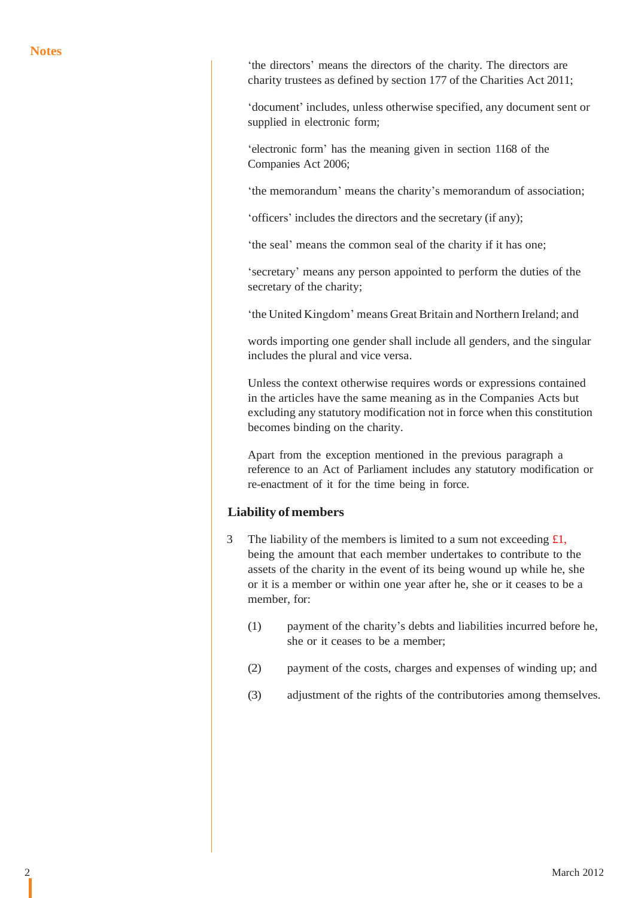'the directors' means the directors of the charity. The directors are charity trustees as defined by section 177 of the Charities Act 2011;

'document' includes, unless otherwise specified, any document sent or supplied in electronic form;

'electronic form' has the meaning given in section 1168 of the Companies Act 2006;

'the memorandum' means the charity's memorandum of association;

'officers' includes the directors and the secretary (if any);

'the seal' means the common seal of the charity if it has one;

'secretary' means any person appointed to perform the duties of the secretary of the charity;

'the United Kingdom' means Great Britain and Northern Ireland; and

words importing one gender shall include all genders, and the singular includes the plural and vice versa.

Unless the context otherwise requires words or expressions contained in the articles have the same meaning as in the Companies Acts but excluding any statutory modification not in force when this constitution becomes binding on the charity.

Apart from the exception mentioned in the previous paragraph a reference to an Act of Parliament includes any statutory modification or re-enactment of it for the time being in force.

### **Liability of members**

- 3 The liability of the members is limited to a sum not exceeding  $\pounds 1$ , being the amount that each member undertakes to contribute to the assets of the charity in the event of its being wound up while he, she or it is a member or within one year after he, she or it ceases to be a member, for:
	- (1) payment of the charity's debts and liabilities incurred before he, she or it ceases to be a member;
	- (2) payment of the costs, charges and expenses of winding up; and
	- (3) adjustment of the rights of the contributories among themselves.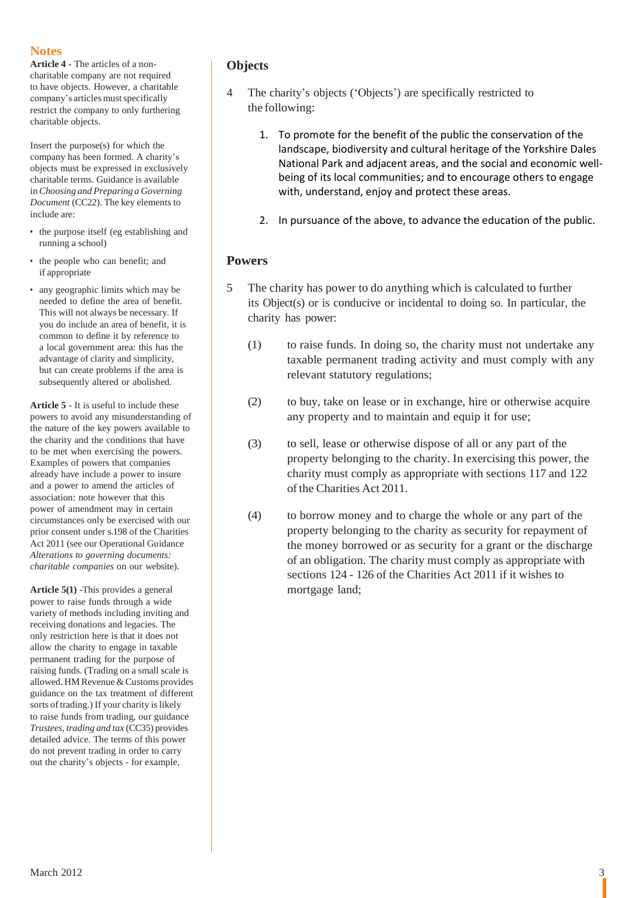**Article 4** - The articles of a noncharitable company are not required to have objects. However, a charitable company's articles must specifically restrict the company to only furthering charitable objects.

Insert the purpose(s) for which the company has been formed. A charity's objects must be expressed in exclusively charitable terms. Guidance is available in*Choosing and Preparing a Governing Document* (CC22). The key elements to include are:

- the purpose itself (eg establishing and running a school)
- the people who can benefit; and if appropriate
- any geographic limits which may be needed to define the area of benefit. This will not always be necessary. If you do include an area of benefit, it is common to define it by reference to a local government area: this has the advantage of clarity and simplicity, but can create problems if the area is subsequently altered or abolished.

**Article 5** - It is useful to include these powers to avoid any misunderstanding of the nature of the key powers available to the charity and the conditions that have to be met when exercising the powers. Examples of powers that companies already have include a power to insure and a power to amend the articles of association: note however that this power of amendment may in certain circumstances only be exercised with our prior consent under s.198 of the Charities Act 2011 (see our Operational Guidance *Alterations to governing documents: charitable companies* on our website).

**Article 5(1)** -This provides a general power to raise funds through a wide variety of methods including inviting and receiving donations and legacies. The only restriction here is that it does not allow the charity to engage in taxable permanent trading for the purpose of raising funds. (Trading on a small scale is allowed. HM Revenue & Customs provides guidance on the tax treatment of different sorts of trading.) If your charity is likely to raise funds from trading, our guidance *Trustees, trading and tax* (CC35) provides detailed advice. The terms of this power do not prevent trading in order to carry out the charity's objects - for example,

# **Objects**

- 4 The charity's objects ('Objects') are specifically restricted to the following:
	- 1. To promote for the benefit of the public the conservation of the landscape, biodiversity and cultural heritage of the Yorkshire Dales National Park and adjacent areas, and the social and economic wellbeing of its local communities; and to encourage others to engage with, understand, enjoy and protect these areas.
	- 2. In pursuance of the above, to advance the education of the public.

## **Powers**

- 5 The charity has power to do anything which is calculated to further its Object(s) or is conducive or incidental to doing so. In particular, the charity has power:
	- (1) to raise funds. In doing so, the charity must not undertake any taxable permanent trading activity and must comply with any relevant statutory regulations;
	- (2) to buy, take on lease or in exchange, hire or otherwise acquire any property and to maintain and equip it for use;
	- (3) to sell, lease or otherwise dispose of all or any part of the property belonging to the charity. In exercising this power, the charity must comply as appropriate with sections 117 and 122 of the Charities Act 2011.
	- (4) to borrow money and to charge the whole or any part of the property belonging to the charity as security for repayment of the money borrowed or as security for a grant or the discharge of an obligation. The charity must comply as appropriate with sections 124 - 126 of the Charities Act 2011 if it wishes to mortgage land;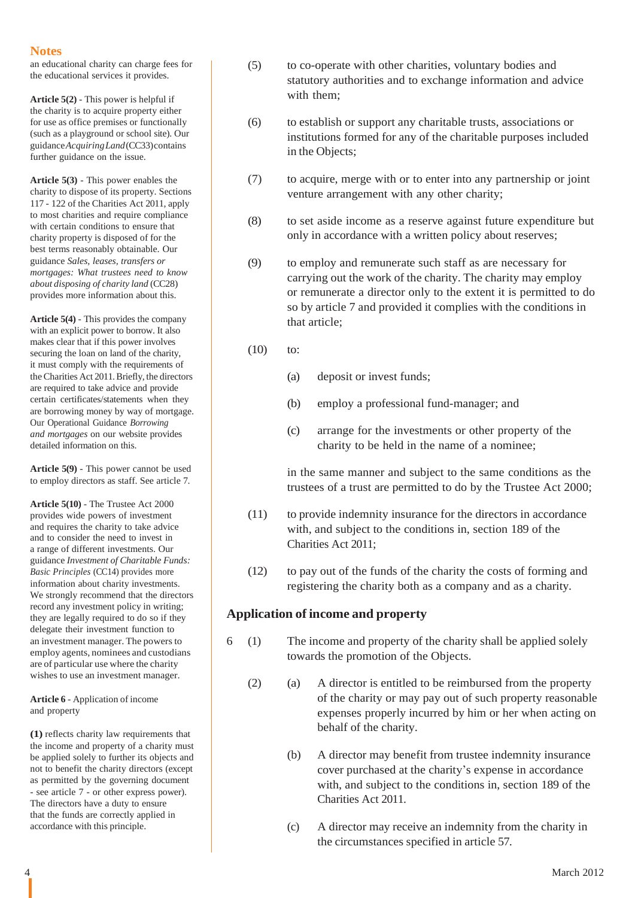an educational charity can charge fees for the educational services it provides.

**Article 5(2)** - This power is helpful if the charity is to acquire property either for use as office premises or functionally (such as a playground or school site). Our guidance*AcquiringLand*(CC33)contains further guidance on the issue.

**Article 5(3)** - This power enables the charity to dispose of its property. Sections 117 - 122 of the Charities Act 2011, apply to most charities and require compliance with certain conditions to ensure that charity property is disposed of for the best terms reasonably obtainable. Our guidance *Sales, leases, transfers or mortgages: What trustees need to know about disposing of charity land* (CC28) provides more information about this.

**Article 5(4)** - This provides the company with an explicit power to borrow. It also makes clear that if this power involves securing the loan on land of the charity, it must comply with the requirements of the Charities Act 2011.Briefly, the directors are required to take advice and provide certain certificates/statements when they are borrowing money by way of mortgage. Our Operational Guidance *Borrowing and mortgages* on our website provides detailed information on this.

**Article 5(9)** - This power cannot be used to employ directors as staff. See article 7.

**Article 5(10)** - The Trustee Act 2000 provides wide powers of investment and requires the charity to take advice and to consider the need to invest in a range of different investments. Our guidance *Investment of Charitable Funds: Basic Principles* (CC14) provides more information about charity investments. We strongly recommend that the directors record any investment policy in writing; they are legally required to do so if they delegate their investment function to an investment manager. The powers to employ agents, nominees and custodians are of particular use where the charity wishes to use an investment manager.

**Article 6** - Application of income and property

**(1)** reflects charity law requirements that the income and property of a charity must be applied solely to further its objects and not to benefit the charity directors (except as permitted by the governing document - see article 7 - or other express power). The directors have a duty to ensure that the funds are correctly applied in accordance with this principle.

- (5) to co-operate with other charities, voluntary bodies and statutory authorities and to exchange information and advice with them;
- (6) to establish or support any charitable trusts, associations or institutions formed for any of the charitable purposes included in the Objects;
- (7) to acquire, merge with or to enter into any partnership or joint venture arrangement with any other charity;
- (8) to set aside income as a reserve against future expenditure but only in accordance with a written policy about reserves;
- (9) to employ and remunerate such staff as are necessary for carrying out the work of the charity. The charity may employ or remunerate a director only to the extent it is permitted to do so by article 7 and provided it complies with the conditions in that article;
- (10) to:
	- (a) deposit or invest funds;
	- (b) employ a professional fund-manager; and
	- (c) arrange for the investments or other property of the charity to be held in the name of a nominee;

in the same manner and subject to the same conditions as the trustees of a trust are permitted to do by the Trustee Act 2000;

- (11) to provide indemnity insurance for the directors in accordance with, and subject to the conditions in, section 189 of the Charities Act 2011;
- (12) to pay out of the funds of the charity the costs of forming and registering the charity both as a company and as a charity.

## **Application of income and property**

- 6 (1) The income and property of the charity shall be applied solely towards the promotion of the Objects.
	- (2) (a) A director is entitled to be reimbursed from the property of the charity or may pay out of such property reasonable expenses properly incurred by him or her when acting on behalf of the charity.
		- (b) A director may benefit from trustee indemnity insurance cover purchased at the charity's expense in accordance with, and subject to the conditions in, section 189 of the Charities Act 2011.
		- (c) A director may receive an indemnity from the charity in the circumstances specified in article 57.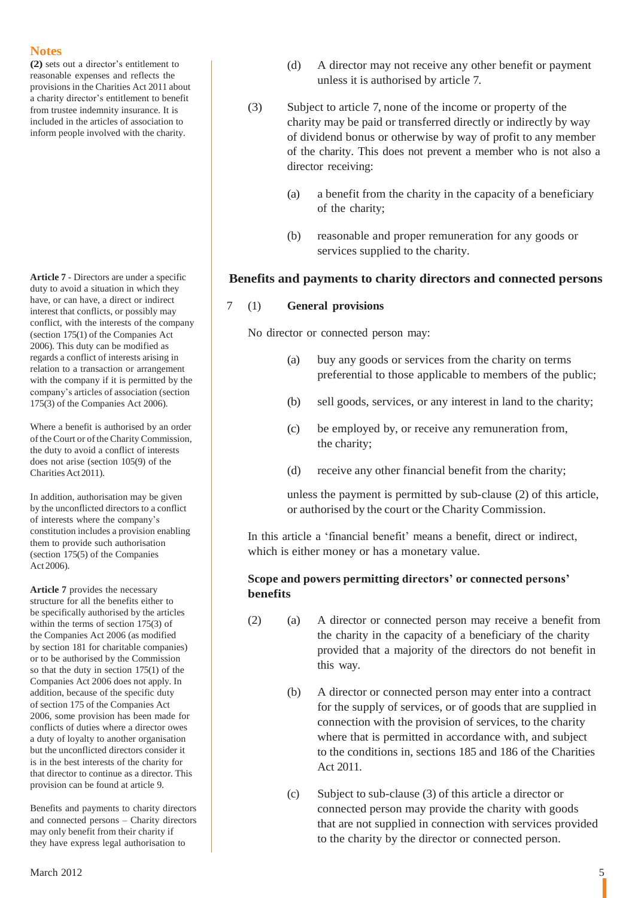**(2)** sets out a director's entitlement to reasonable expenses and reflects the provisions in the Charities Act 2011 about a charity director's entitlement to benefit from trustee indemnity insurance. It is included in the articles of association to inform people involved with the charity.

**Article 7** - Directors are under a specific duty to avoid a situation in which they have, or can have, a direct or indirect interest that conflicts, or possibly may conflict, with the interests of the company (section 175(1) of the Companies Act 2006). This duty can be modified as regards a conflict of interests arising in relation to a transaction or arrangement with the company if it is permitted by the company's articles of association (section 175(3) of the Companies Act 2006).

Where a benefit is authorised by an order of the Court or of the Charity Commission, the duty to avoid a conflict of interests does not arise (section 105(9) of the Charities Act 2011).

In addition, authorisation may be given by the unconflicted directors to a conflict of interests where the company's constitution includes a provision enabling them to provide such authorisation (section 175(5) of the Companies Act 2006).

**Article 7** provides the necessary structure for all the benefits either to be specifically authorised by the articles within the terms of section 175(3) of the Companies Act 2006 (as modified by section 181 for charitable companies) or to be authorised by the Commission so that the duty in section 175(1) of the Companies Act 2006 does not apply. In addition, because of the specific duty of section 175 of the Companies Act 2006, some provision has been made for conflicts of duties where a director owes a duty of loyalty to another organisation but the unconflicted directors consider it is in the best interests of the charity for that director to continue as a director. This provision can be found at article 9.

Benefits and payments to charity directors and connected persons – Charity directors may only benefit from their charity if they have express legal authorisation to

- (d) A director may not receive any other benefit or payment unless it is authorised by article 7.
- (3) Subject to article 7, none of the income or property of the charity may be paid or transferred directly or indirectly by way of dividend bonus or otherwise by way of profit to any member of the charity. This does not prevent a member who is not also a director receiving:
	- (a) a benefit from the charity in the capacity of a beneficiary of the charity;
	- (b) reasonable and proper remuneration for any goods or services supplied to the charity.

## **Benefits and payments to charity directors and connected persons**

## 7 (1) **General provisions**

No director or connected person may:

- (a) buy any goods or services from the charity on terms preferential to those applicable to members of the public;
- (b) sell goods, services, or any interest in land to the charity;
- (c) be employed by, or receive any remuneration from, the charity;
- (d) receive any other financial benefit from the charity;

unless the payment is permitted by sub-clause (2) of this article, or authorised by the court or the Charity Commission.

In this article a 'financial benefit' means a benefit, direct or indirect, which is either money or has a monetary value.

## **Scope and powers permitting directors' or connected persons' benefits**

- (2) (a) A director or connected person may receive a benefit from the charity in the capacity of a beneficiary of the charity provided that a majority of the directors do not benefit in this way.
	- (b) A director or connected person may enter into a contract for the supply of services, or of goods that are supplied in connection with the provision of services, to the charity where that is permitted in accordance with, and subject to the conditions in, sections 185 and 186 of the Charities Act 2011.
	- (c) Subject to sub-clause (3) of this article a director or connected person may provide the charity with goods that are not supplied in connection with services provided to the charity by the director or connected person.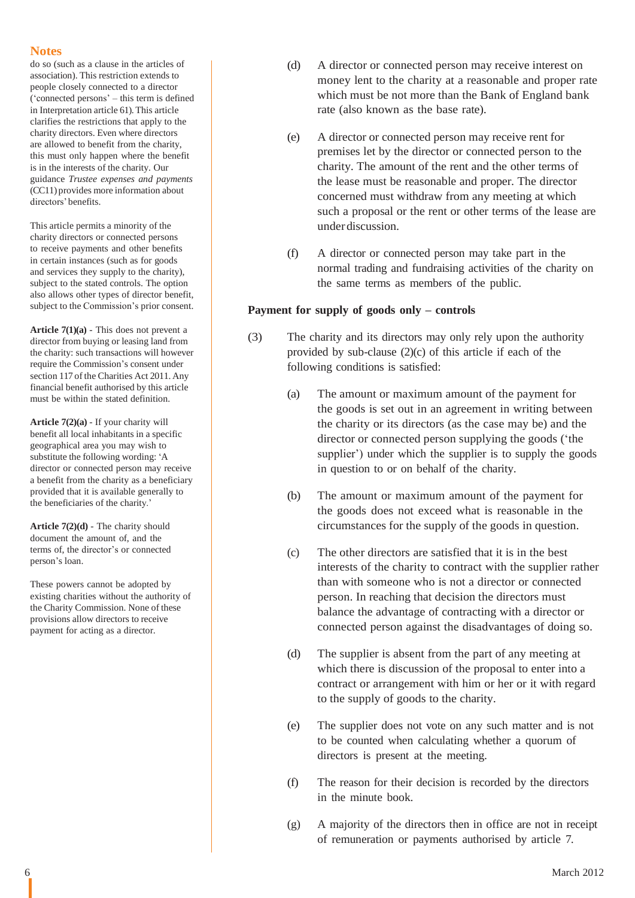do so (such as a clause in the articles of association). This restriction extends to people closely connected to a director ('connected persons' – this term is defined in Interpretation article 61). This article clarifies the restrictions that apply to the charity directors. Even where directors are allowed to benefit from the charity, this must only happen where the benefit is in the interests of the charity. Our guidance *Trustee expenses and payments* (CC11) provides more information about directors'benefits.

This article permits a minority of the charity directors or connected persons to receive payments and other benefits in certain instances (such as for goods and services they supply to the charity), subject to the stated controls. The option also allows other types of director benefit, subject to the Commission's prior consent.

**Article 7(1)(a)** - This does not prevent a director from buying or leasing land from the charity: such transactions will however require the Commission's consent under section 117 of the Charities Act 2011. Any financial benefit authorised by this article must be within the stated definition.

**Article 7(2)(a)** - If your charity will benefit all local inhabitants in a specific geographical area you may wish to substitute the following wording: 'A director or connected person may receive a benefit from the charity as a beneficiary provided that it is available generally to the beneficiaries of the charity.'

**Article 7(2)(d)** - The charity should document the amount of, and the terms of, the director's or connected person's loan.

These powers cannot be adopted by existing charities without the authority of the Charity Commission. None of these provisions allow directors to receive payment for acting as a director.

- (d) A director or connected person may receive interest on money lent to the charity at a reasonable and proper rate which must be not more than the Bank of England bank rate (also known as the base rate).
- (e) A director or connected person may receive rent for premises let by the director or connected person to the charity. The amount of the rent and the other terms of the lease must be reasonable and proper. The director concerned must withdraw from any meeting at which such a proposal or the rent or other terms of the lease are underdiscussion.
- (f) A director or connected person may take part in the normal trading and fundraising activities of the charity on the same terms as members of the public.

## **Payment for supply of goods only – controls**

- (3) The charity and its directors may only rely upon the authority provided by sub-clause (2)(c) of this article if each of the following conditions is satisfied:
	- (a) The amount or maximum amount of the payment for the goods is set out in an agreement in writing between the charity or its directors (as the case may be) and the director or connected person supplying the goods ('the supplier') under which the supplier is to supply the goods in question to or on behalf of the charity.
	- (b) The amount or maximum amount of the payment for the goods does not exceed what is reasonable in the circumstances for the supply of the goods in question.
	- (c) The other directors are satisfied that it is in the best interests of the charity to contract with the supplier rather than with someone who is not a director or connected person. In reaching that decision the directors must balance the advantage of contracting with a director or connected person against the disadvantages of doing so.
	- (d) The supplier is absent from the part of any meeting at which there is discussion of the proposal to enter into a contract or arrangement with him or her or it with regard to the supply of goods to the charity.
	- (e) The supplier does not vote on any such matter and is not to be counted when calculating whether a quorum of directors is present at the meeting.
	- (f) The reason for their decision is recorded by the directors in the minute book.
	- (g) A majority of the directors then in office are not in receipt of remuneration or payments authorised by article 7.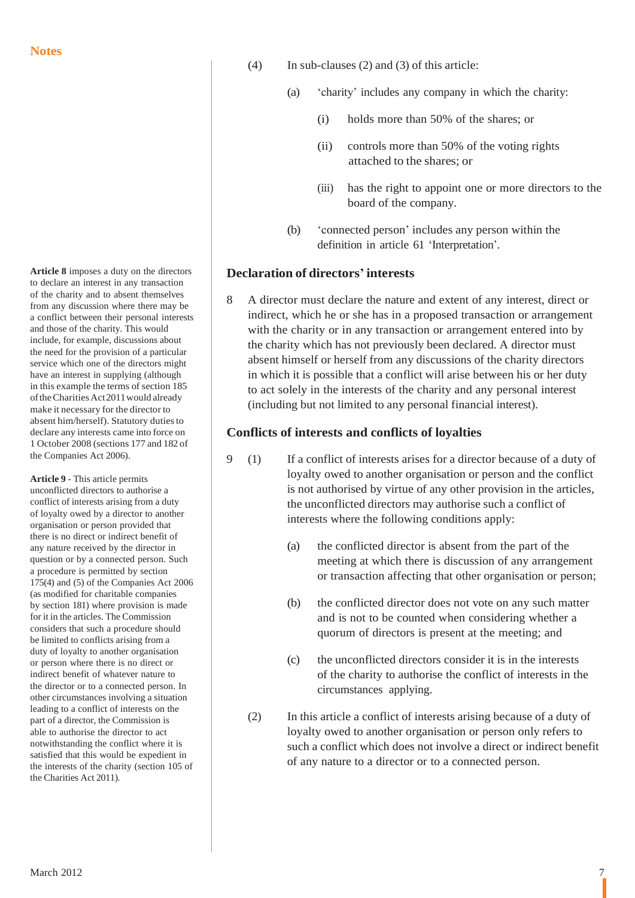**Article 8** imposes a duty on the directors to declare an interest in any transaction of the charity and to absent themselves from any discussion where there may be a conflict between their personal interests and those of the charity. This would include, for example, discussions about the need for the provision of a particular service which one of the directors might have an interest in supplying (although in this example the terms of section 185 oftheCharitiesAct2011would already make it necessary for the director to absent him/herself). Statutory dutiesto declare any interests came into force on 1 October 2008 (sections 177 and 182 of the Companies Act 2006).

**Article 9** - This article permits unconflicted directors to authorise a conflict of interests arising from a duty of loyalty owed by a director to another organisation or person provided that there is no direct or indirect benefit of any nature received by the director in question or by a connected person. Such a procedure is permitted by section 175(4) and (5) of the Companies Act 2006 (as modified for charitable companies by section 181) where provision is made for it in the articles. The Commission considers that such a procedure should be limited to conflicts arising from a duty of loyalty to another organisation or person where there is no direct or indirect benefit of whatever nature to the director or to a connected person. In other circumstances involving a situation leading to a conflict of interests on the part of a director, the Commission is able to authorise the director to act notwithstanding the conflict where it is satisfied that this would be expedient in the interests of the charity (section 105 of the Charities Act 2011).

- (4) In sub-clauses (2) and (3) of this article:
	- (a) 'charity' includes any company in which the charity:
		- (i) holds more than 50% of the shares; or
		- (ii) controls more than 50% of the voting rights attached to the shares; or
		- (iii) has the right to appoint one or more directors to the board of the company.
	- (b) 'connected person' includes any person within the definition in article 61 'Interpretation'.

## **Declaration of directors' interests**

8 A director must declare the nature and extent of any interest, direct or indirect, which he or she has in a proposed transaction or arrangement with the charity or in any transaction or arrangement entered into by the charity which has not previously been declared. A director must absent himself or herself from any discussions of the charity directors in which it is possible that a conflict will arise between his or her duty to act solely in the interests of the charity and any personal interest (including but not limited to any personal financial interest).

## **Conflicts of interests and conflicts of loyalties**

- 9 (1) If a conflict of interests arises for a director because of a duty of loyalty owed to another organisation or person and the conflict is not authorised by virtue of any other provision in the articles, the unconflicted directors may authorise such a conflict of interests where the following conditions apply:
	- (a) the conflicted director is absent from the part of the meeting at which there is discussion of any arrangement or transaction affecting that other organisation or person;
	- (b) the conflicted director does not vote on any such matter and is not to be counted when considering whether a quorum of directors is present at the meeting; and
	- (c) the unconflicted directors consider it is in the interests of the charity to authorise the conflict of interests in the circumstances applying.
	- (2) In this article a conflict of interests arising because of a duty of loyalty owed to another organisation or person only refers to such a conflict which does not involve a direct or indirect benefit of any nature to a director or to a connected person.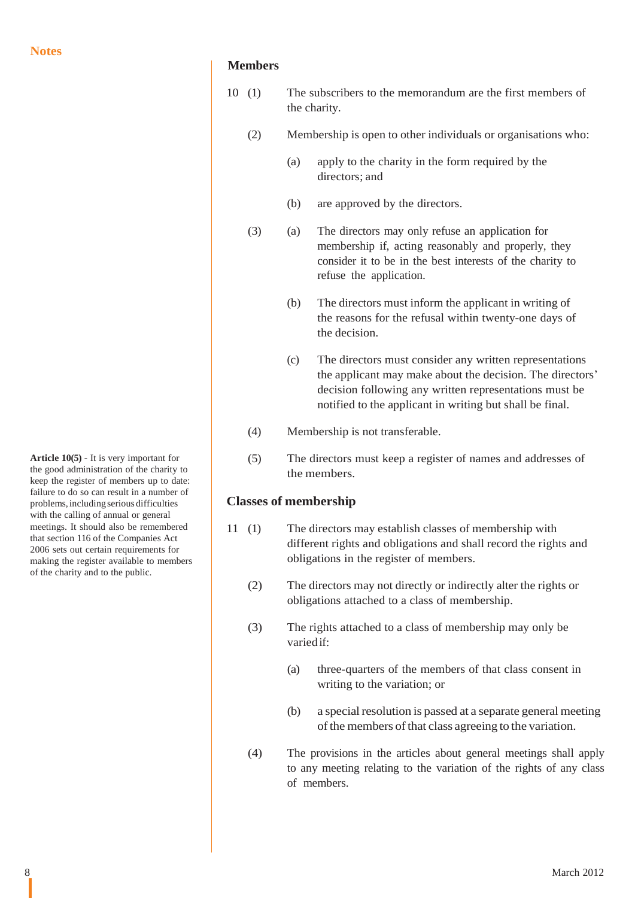**Article 10(5)** - It is very important for the good administration of the charity to keep the register of members up to date: failure to do so can result in a number of problems,including serious difficulties with the calling of annual or general meetings. It should also be remembered that section 116 of the Companies Act 2006 sets out certain requirements for making the register available to members of the charity and to the public.

## **Members**

- 10 (1) The subscribers to the memorandum are the first members of the charity.
	- (2) Membership is open to other individuals or organisations who:
		- (a) apply to the charity in the form required by the directors; and
		- (b) are approved by the directors.
	- (3) (a) The directors may only refuse an application for membership if, acting reasonably and properly, they consider it to be in the best interests of the charity to refuse the application.
		- (b) The directors must inform the applicant in writing of the reasons for the refusal within twenty-one days of the decision.
		- (c) The directors must consider any written representations the applicant may make about the decision. The directors' decision following any written representations must be notified to the applicant in writing but shall be final.
	- (4) Membership is not transferable.
	- (5) The directors must keep a register of names and addresses of the members.

## **Classes of membership**

- 11 (1) The directors may establish classes of membership with different rights and obligations and shall record the rights and obligations in the register of members.
	- (2) The directors may not directly or indirectly alter the rights or obligations attached to a class of membership.
	- (3) The rights attached to a class of membership may only be varied if:
		- (a) three-quarters of the members of that class consent in writing to the variation; or
		- $(b)$  a special resolution is passed at a separate general meeting of the members of that class agreeing to the variation.
	- (4) The provisions in the articles about general meetings shall apply to any meeting relating to the variation of the rights of any class of members.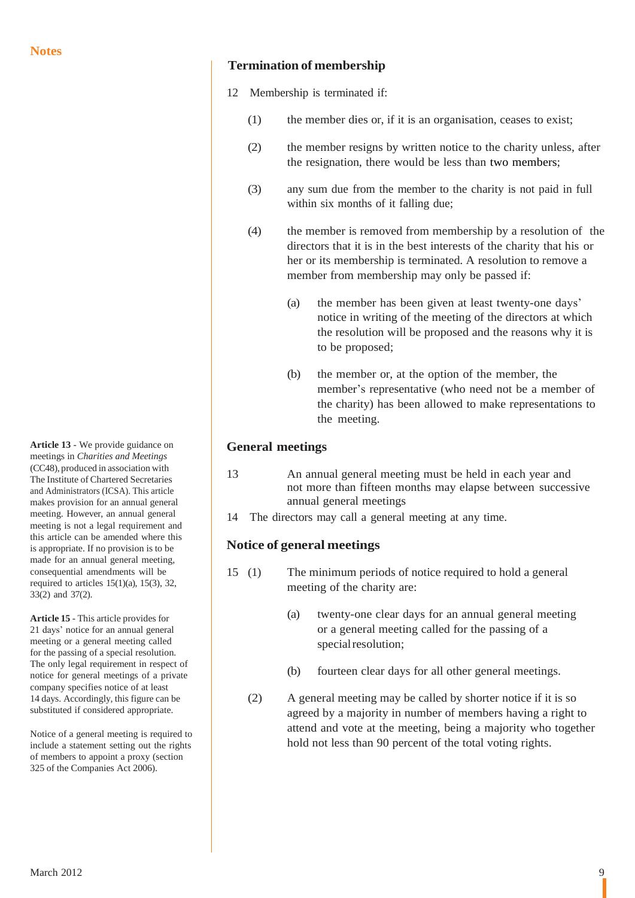**Article 13** - We provide guidance on meetings in *Charities and Meetings* (CC48), produced in association with The Institute of Chartered Secretaries and Administrators (ICSA). This article makes provision for an annual general meeting. However, an annual general meeting is not a legal requirement and this article can be amended where this is appropriate. If no provision is to be made for an annual general meeting, consequential amendments will be required to articles  $15(1)(a)$ ,  $15(3)$ ,  $32$ , 33(2) and 37(2).

**Article 15** - This article provides for 21 days' notice for an annual general meeting or a general meeting called for the passing of a special resolution. The only legal requirement in respect of notice for general meetings of a private company specifies notice of at least 14 days. Accordingly, this figure can be substituted if considered appropriate.

Notice of a general meeting is required to include a statement setting out the rights of members to appoint a proxy (section 325 of the Companies Act 2006).

## **Termination of membership**

- 12 Membership is terminated if:
	- (1) the member dies or, if it is an organisation, ceases to exist;
	- (2) the member resigns by written notice to the charity unless, after the resignation, there would be less than two members;
	- (3) any sum due from the member to the charity is not paid in full within six months of it falling due;
	- (4) the member is removed from membership by a resolution of the directors that it is in the best interests of the charity that his or her or its membership is terminated. A resolution to remove a member from membership may only be passed if:
		- (a) the member has been given at least twenty-one days' notice in writing of the meeting of the directors at which the resolution will be proposed and the reasons why it is to be proposed;
		- (b) the member or, at the option of the member, the member's representative (who need not be a member of the charity) has been allowed to make representations to the meeting.

## **General meetings**

- 13 An annual general meeting must be held in each year and not more than fifteen months may elapse between successive annual general meetings
- 14 The directors may call a general meeting at any time.

## **Notice of general meetings**

- 15 (1) The minimum periods of notice required to hold a general meeting of the charity are:
	- (a) twenty-one clear days for an annual general meeting or a general meeting called for the passing of a special resolution;
	- (b) fourteen clear days for all other general meetings.
	- (2) A general meeting may be called by shorter notice if it is so agreed by a majority in number of members having a right to attend and vote at the meeting, being a majority who together hold not less than 90 percent of the total voting rights.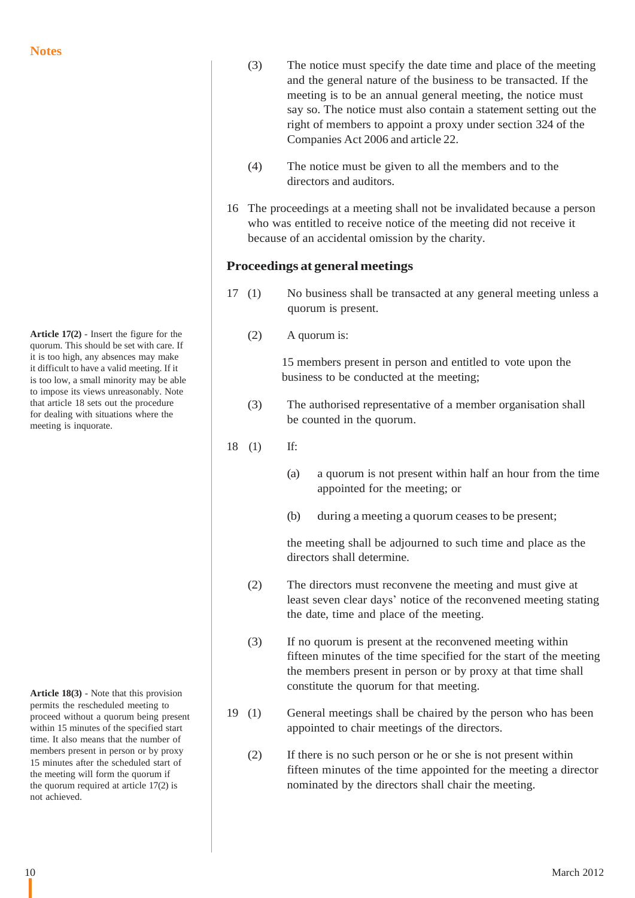**Article 17(2)** - Insert the figure for the quorum. This should be set with care. If it is too high, any absences may make it difficult to have a valid meeting. If it is too low, a small minority may be able to impose its views unreasonably. Note that article 18 sets out the procedure for dealing with situations where the meeting is inquorate.

**Article 18(3)** - Note that this provision permits the rescheduled meeting to proceed without a quorum being present within 15 minutes of the specified start time. It also means that the number of members present in person or by proxy 15 minutes after the scheduled start of the meeting will form the quorum if the quorum required at article 17(2) is not achieved.

- (3) The notice must specify the date time and place of the meeting and the general nature of the business to be transacted. If the meeting is to be an annual general meeting, the notice must say so. The notice must also contain a statement setting out the right of members to appoint a proxy under section 324 of the Companies Act 2006 and article 22.
- (4) The notice must be given to all the members and to the directors and auditors.
- 16 The proceedings at a meeting shall not be invalidated because a person who was entitled to receive notice of the meeting did not receive it because of an accidental omission by the charity.

### **Proceedings at general meetings**

- 17 (1) No business shall be transacted at any general meeting unless a quorum is present.
	- (2) A quorum is:

15 members present in person and entitled to vote upon the business to be conducted at the meeting;

- (3) The authorised representative of a member organisation shall be counted in the quorum.
- 18 (1) If:
	- (a) a quorum is not present within half an hour from the time appointed for the meeting; or
	- (b) during a meeting a quorum ceases to be present;

the meeting shall be adjourned to such time and place as the directors shall determine.

- (2) The directors must reconvene the meeting and must give at least seven clear days' notice of the reconvened meeting stating the date, time and place of the meeting.
- (3) If no quorum is present at the reconvened meeting within fifteen minutes of the time specified for the start of the meeting the members present in person or by proxy at that time shall constitute the quorum for that meeting.
- 19 (1) General meetings shall be chaired by the person who has been appointed to chair meetings of the directors.
	- (2) If there is no such person or he or she is not present within fifteen minutes of the time appointed for the meeting a director nominated by the directors shall chair the meeting.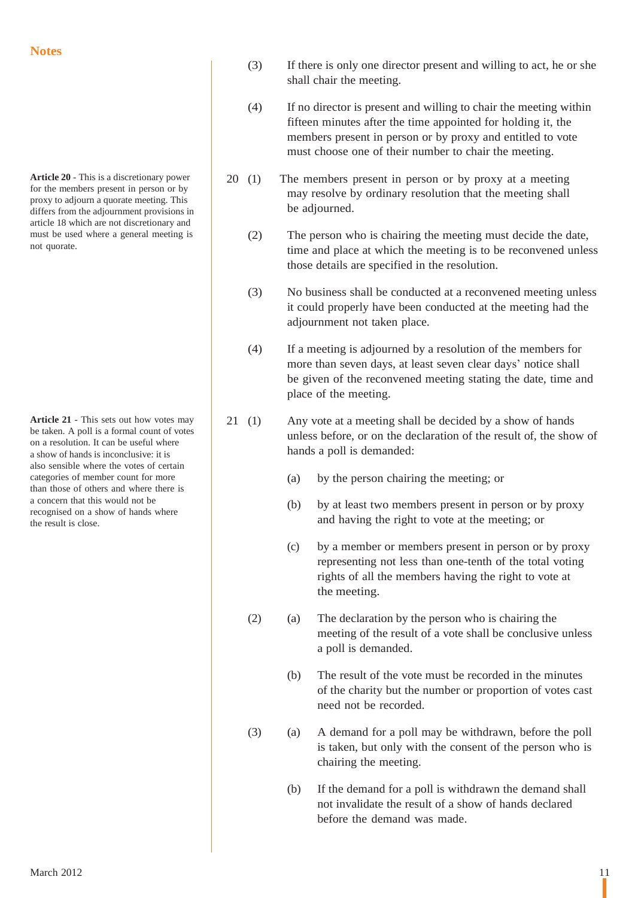**Article 20** - This is a discretionary power for the members present in person or by proxy to adjourn a quorate meeting. This differs from the adjournment provisions in article 18 which are not discretionary and must be used where a general meeting is not quorate.

**Article 21** - This sets out how votes may be taken. A poll is a formal count of votes on a resolution. It can be useful where a show of hands is inconclusive: it is also sensible where the votes of certain categories of member count for more than those of others and where there is a concern that this would not be recognised on a show of hands where the result is close.

- (3) If there is only one director present and willing to act, he or she shall chair the meeting.
- (4) If no director is present and willing to chair the meeting within fifteen minutes after the time appointed for holding it, the members present in person or by proxy and entitled to vote must choose one of their number to chair the meeting.
- 20 (1) The members present in person or by proxy at a meeting may resolve by ordinary resolution that the meeting shall be adjourned.
	- (2) The person who is chairing the meeting must decide the date, time and place at which the meeting is to be reconvened unless those details are specified in the resolution.
	- (3) No business shall be conducted at a reconvened meeting unless it could properly have been conducted at the meeting had the adjournment not taken place.
	- (4) If a meeting is adjourned by a resolution of the members for more than seven days, at least seven clear days' notice shall be given of the reconvened meeting stating the date, time and place of the meeting.
- 21 (1) Any vote at a meeting shall be decided by a show of hands unless before, or on the declaration of the result of, the show of hands a poll is demanded:
	- (a) by the person chairing the meeting; or
	- (b) by at least two members present in person or by proxy and having the right to vote at the meeting; or
	- (c) by a member or members present in person or by proxy representing not less than one-tenth of the total voting rights of all the members having the right to vote at the meeting.
	- (2) (a) The declaration by the person who is chairing the meeting of the result of a vote shall be conclusive unless a poll is demanded.
		- (b) The result of the vote must be recorded in the minutes of the charity but the number or proportion of votes cast need not be recorded.
	- (3) (a) A demand for a poll may be withdrawn, before the poll is taken, but only with the consent of the person who is chairing the meeting.
		- (b) If the demand for a poll is withdrawn the demand shall not invalidate the result of a show of hands declared before the demand was made.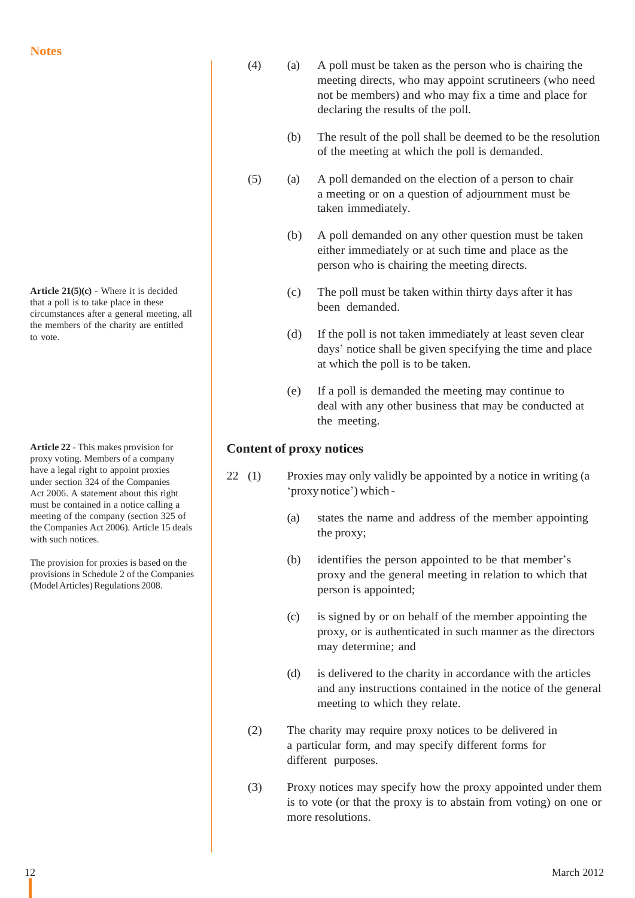**Article 21(5)(c)** - Where it is decided that a poll is to take place in these circumstances after a general meeting, all the members of the charity are entitled to vote.

**Article 22** - This makes provision for proxy voting. Members of a company have a legal right to appoint proxies under section 324 of the Companies Act 2006. A statement about this right must be contained in a notice calling a meeting of the company (section 325 of the Companies Act 2006). Article 15 deals with such notices.

The provision for proxies is based on the provisions in Schedule 2 of the Companies (Model Articles) Regulations 2008.

- (4) (a) A poll must be taken as the person who is chairing the meeting directs, who may appoint scrutineers (who need not be members) and who may fix a time and place for declaring the results of the poll.
	- (b) The result of the poll shall be deemed to be the resolution of the meeting at which the poll is demanded.
- (5) (a) A poll demanded on the election of a person to chair a meeting or on a question of adjournment must be taken immediately.
	- (b) A poll demanded on any other question must be taken either immediately or at such time and place as the person who is chairing the meeting directs.
	- (c) The poll must be taken within thirty days after it has been demanded.
	- (d) If the poll is not taken immediately at least seven clear days' notice shall be given specifying the time and place at which the poll is to be taken.
	- (e) If a poll is demanded the meeting may continue to deal with any other business that may be conducted at the meeting.

## **Content of proxy notices**

- 22 (1) Proxies may only validly be appointed by a notice in writing (a 'proxy notice') which -
	- (a) states the name and address of the member appointing the proxy;
	- (b) identifies the person appointed to be that member's proxy and the general meeting in relation to which that person is appointed;
	- (c) is signed by or on behalf of the member appointing the proxy, or is authenticated in such manner as the directors may determine; and
	- (d) is delivered to the charity in accordance with the articles and any instructions contained in the notice of the general meeting to which they relate.
	- (2) The charity may require proxy notices to be delivered in a particular form, and may specify different forms for different purposes.
	- (3) Proxy notices may specify how the proxy appointed under them is to vote (or that the proxy is to abstain from voting) on one or more resolutions.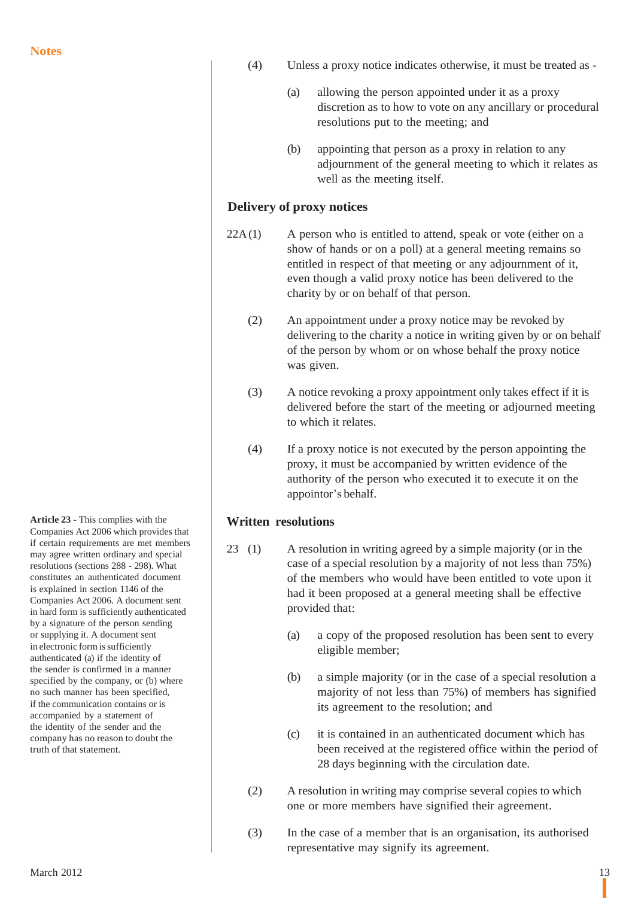**Article 23** - This complies with the Companies Act 2006 which provides that if certain requirements are met members may agree written ordinary and special resolutions (sections 288 - 298). What constitutes an authenticated document is explained in section 1146 of the Companies Act 2006. A document sent in hard form is sufficiently authenticated by a signature of the person sending or supplying it. A document sent in electronic form is sufficiently authenticated (a) if the identity of the sender is confirmed in a manner specified by the company, or (b) where no such manner has been specified, if the communication contains or is accompanied by a statement of the identity of the sender and the company has no reason to doubt the truth of that statement.

- (4) Unless a proxy notice indicates otherwise, it must be treated as
	- (a) allowing the person appointed under it as a proxy discretion as to how to vote on any ancillary or procedural resolutions put to the meeting; and
	- (b) appointing that person as a proxy in relation to any adjournment of the general meeting to which it relates as well as the meeting itself.

## **Delivery of proxy notices**

- $22A(1)$  A person who is entitled to attend, speak or vote (either on a show of hands or on a poll) at a general meeting remains so entitled in respect of that meeting or any adjournment of it, even though a valid proxy notice has been delivered to the charity by or on behalf of that person.
	- (2) An appointment under a proxy notice may be revoked by delivering to the charity a notice in writing given by or on behalf of the person by whom or on whose behalf the proxy notice was given.
	- (3) A notice revoking a proxy appointment only takes effect if it is delivered before the start of the meeting or adjourned meeting to which it relates.
	- (4) If a proxy notice is not executed by the person appointing the proxy, it must be accompanied by written evidence of the authority of the person who executed it to execute it on the appointor's behalf.

## **Written resolutions**

- 23 (1) A resolution in writing agreed by a simple majority (or in the case of a special resolution by a majority of not less than 75%) of the members who would have been entitled to vote upon it had it been proposed at a general meeting shall be effective provided that:
	- (a) a copy of the proposed resolution has been sent to every eligible member;
	- (b) a simple majority (or in the case of a special resolution a majority of not less than 75%) of members has signified its agreement to the resolution; and
	- (c) it is contained in an authenticated document which has been received at the registered office within the period of 28 days beginning with the circulation date.
	- (2) A resolution in writing may comprise several copies to which one or more members have signified their agreement.
	- (3) In the case of a member that is an organisation, its authorised representative may signify its agreement.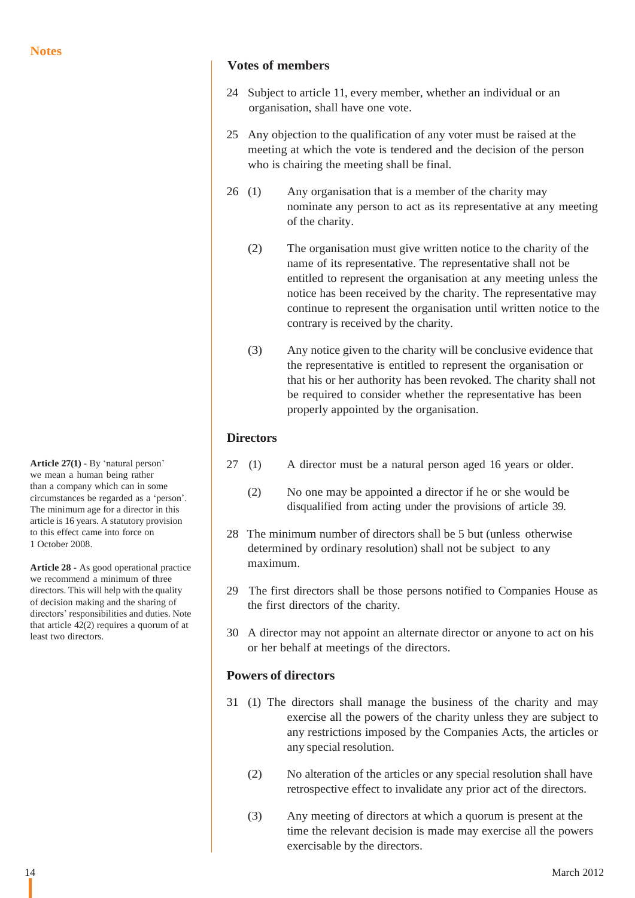```
Article 27(1) - By 'natural person'
we mean a human being rather
than a company which can in some
circumstances be regarded as a 'person'.
The minimum age for a director in this
article is 16 years. A statutory provision
to this effect came into force on
1 October 2008.
```
**Article 28** - As good operational practice we recommend a minimum of three directors. This will help with the quality of decision making and the sharing of directors' responsibilities and duties. Note that article 42(2) requires a quorum of at least two directors.

# **Votes of members**

- 24 Subject to article 11, every member, whether an individual or an organisation, shall have one vote.
- 25 Any objection to the qualification of any voter must be raised at the meeting at which the vote is tendered and the decision of the person who is chairing the meeting shall be final.
- 26 (1) Any organisation that is a member of the charity may nominate any person to act as its representative at any meeting of the charity.
	- (2) The organisation must give written notice to the charity of the name of its representative. The representative shall not be entitled to represent the organisation at any meeting unless the notice has been received by the charity. The representative may continue to represent the organisation until written notice to the contrary is received by the charity.
	- (3) Any notice given to the charity will be conclusive evidence that the representative is entitled to represent the organisation or that his or her authority has been revoked. The charity shall not be required to consider whether the representative has been properly appointed by the organisation.

# **Directors**

- 27 (1) A director must be a natural person aged 16 years or older.
	- (2) No one may be appointed a director if he or she would be disqualified from acting under the provisions of article 39.
- 28 The minimum number of directors shall be 5 but (unless otherwise determined by ordinary resolution) shall not be subject to any maximum.
- 29 The first directors shall be those persons notified to Companies House as the first directors of the charity.
- 30 A director may not appoint an alternate director or anyone to act on his or her behalf at meetings of the directors.

## **Powers of directors**

- 31 (1) The directors shall manage the business of the charity and may exercise all the powers of the charity unless they are subject to any restrictions imposed by the Companies Acts, the articles or any special resolution.
	- (2) No alteration of the articles or any special resolution shall have retrospective effect to invalidate any prior act of the directors.
	- (3) Any meeting of directors at which a quorum is present at the time the relevant decision is made may exercise all the powers exercisable by the directors.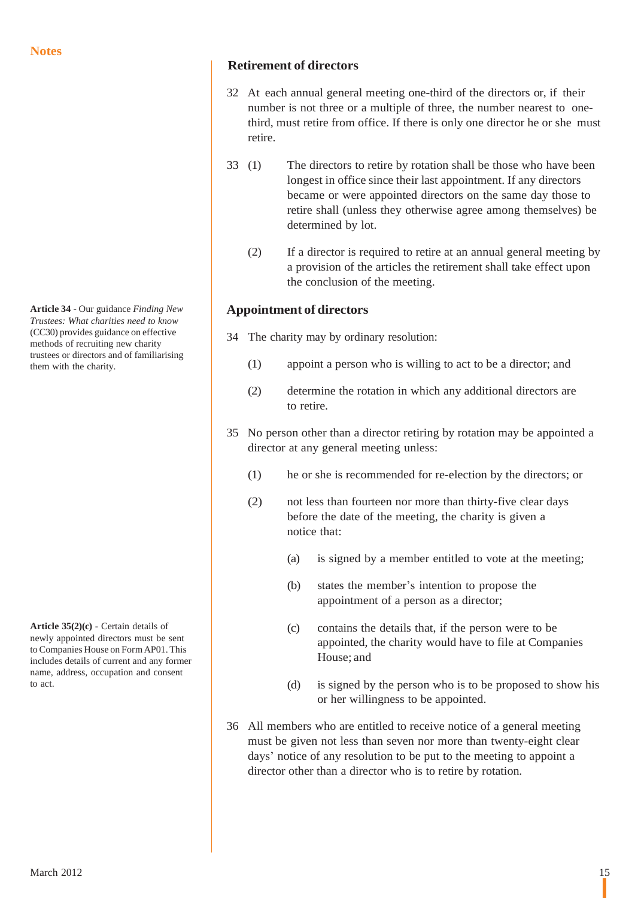**Article 34** - Our guidance *Finding New Trustees: What charities need to know* (CC30) provides guidance on effective methods of recruiting new charity trustees or directors and of familiarising them with the charity.

**Article 35(2)(c)** - Certain details of newly appointed directors must be sent toCompanies House on FormAP01.This includes details of current and any former name, address, occupation and consent to act.

## **Retirement of directors**

- 32 At each annual general meeting one-third of the directors or, if their number is not three or a multiple of three, the number nearest to onethird, must retire from office. If there is only one director he or she must retire.
- 33 (1) The directors to retire by rotation shall be those who have been longest in office since their last appointment. If any directors became or were appointed directors on the same day those to retire shall (unless they otherwise agree among themselves) be determined by lot.
	- (2) If a director is required to retire at an annual general meeting by a provision of the articles the retirement shall take effect upon the conclusion of the meeting.

# **Appointment of directors**

- 34 The charity may by ordinary resolution:
	- (1) appoint a person who is willing to act to be a director; and
	- (2) determine the rotation in which any additional directors are to retire.
- 35 No person other than a director retiring by rotation may be appointed a director at any general meeting unless:
	- (1) he or she is recommended for re-election by the directors; or
	- (2) not less than fourteen nor more than thirty-five clear days before the date of the meeting, the charity is given a notice that:
		- (a) is signed by a member entitled to vote at the meeting;
		- (b) states the member's intention to propose the appointment of a person as a director;
		- (c) contains the details that, if the person were to be appointed, the charity would have to file at Companies House; and
		- (d) is signed by the person who is to be proposed to show his or her willingness to be appointed.
- 36 All members who are entitled to receive notice of a general meeting must be given not less than seven nor more than twenty-eight clear days' notice of any resolution to be put to the meeting to appoint a director other than a director who is to retire by rotation.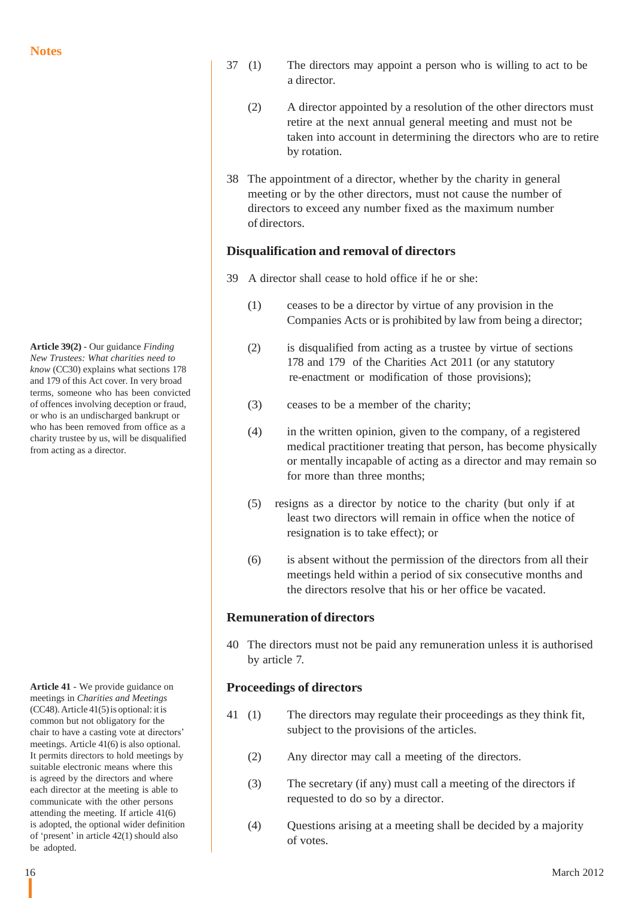**Article 39(2)** - Our guidance *Finding New Trustees: What charities need to know* (CC30) explains what sections 178 and 179 of this Act cover. In very broad terms, someone who has been convicted of offences involving deception or fraud, or who is an undischarged bankrupt or who has been removed from office as a charity trustee by us, will be disqualified from acting as a director.

**Article 41** - We provide guidance on meetings in *Charities and Meetings*  $(CC48)$ . Article 41(5) is optional: it is common but not obligatory for the chair to have a casting vote at directors' meetings. Article 41(6) is also optional. It permits directors to hold meetings by suitable electronic means where this is agreed by the directors and where each director at the meeting is able to communicate with the other persons attending the meeting. If article 41(6) is adopted, the optional wider definition of 'present' in article 42(1) should also be adopted.

- 37 (1) The directors may appoint a person who is willing to act to be a director.
	- (2) A director appointed by a resolution of the other directors must retire at the next annual general meeting and must not be taken into account in determining the directors who are to retire by rotation.
- 38 The appointment of a director, whether by the charity in general meeting or by the other directors, must not cause the number of directors to exceed any number fixed as the maximum number of directors.

## **Disqualification and removal of directors**

- 39 A director shall cease to hold office if he or she:
	- (1) ceases to be a director by virtue of any provision in the Companies Acts or is prohibited by law from being a director;
	- (2) is disqualified from acting as a trustee by virtue of sections 178 and 179 of the Charities Act 2011 (or any statutory re-enactment or modification of those provisions);
	- (3) ceases to be a member of the charity;
	- (4) in the written opinion, given to the company, of a registered medical practitioner treating that person, has become physically or mentally incapable of acting as a director and may remain so for more than three months;
	- (5) resigns as a director by notice to the charity (but only if at least two directors will remain in office when the notice of resignation is to take effect); or
	- (6) is absent without the permission of the directors from all their meetings held within a period of six consecutive months and the directors resolve that his or her office be vacated.

## **Remuneration of directors**

40 The directors must not be paid any remuneration unless it is authorised by article 7.

## **Proceedings of directors**

- 41 (1) The directors may regulate their proceedings as they think fit, subject to the provisions of the articles.
	- (2) Any director may call a meeting of the directors.
	- (3) The secretary (if any) must call a meeting of the directors if requested to do so by a director.
	- (4) Questions arising at a meeting shall be decided by a majority of votes.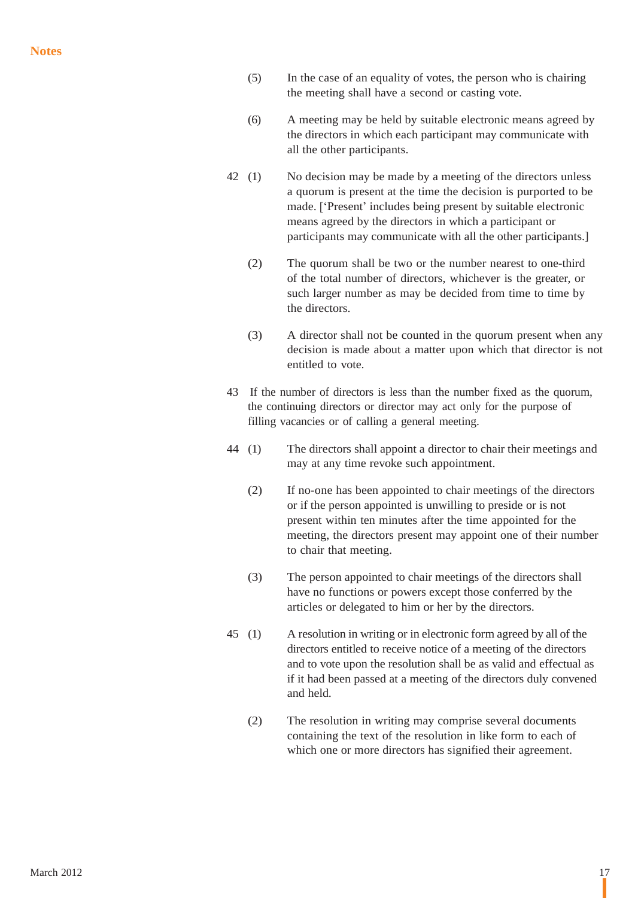- (5) In the case of an equality of votes, the person who is chairing the meeting shall have a second or casting vote.
- (6) A meeting may be held by suitable electronic means agreed by the directors in which each participant may communicate with all the other participants.
- 42 (1) No decision may be made by a meeting of the directors unless a quorum is present at the time the decision is purported to be made. ['Present' includes being present by suitable electronic means agreed by the directors in which a participant or participants may communicate with all the other participants.]
	- (2) The quorum shall be two or the number nearest to one-third of the total number of directors, whichever is the greater, or such larger number as may be decided from time to time by the directors.
	- (3) A director shall not be counted in the quorum present when any decision is made about a matter upon which that director is not entitled to vote.
- 43 If the number of directors is less than the number fixed as the quorum, the continuing directors or director may act only for the purpose of filling vacancies or of calling a general meeting.
- 44 (1) The directors shall appoint a director to chair their meetings and may at any time revoke such appointment.
	- (2) If no-one has been appointed to chair meetings of the directors or if the person appointed is unwilling to preside or is not present within ten minutes after the time appointed for the meeting, the directors present may appoint one of their number to chair that meeting.
	- (3) The person appointed to chair meetings of the directors shall have no functions or powers except those conferred by the articles or delegated to him or her by the directors.
- 45 (1) A resolution in writing or in electronic form agreed by all of the directors entitled to receive notice of a meeting of the directors and to vote upon the resolution shall be as valid and effectual as if it had been passed at a meeting of the directors duly convened and held.
	- (2) The resolution in writing may comprise several documents containing the text of the resolution in like form to each of which one or more directors has signified their agreement.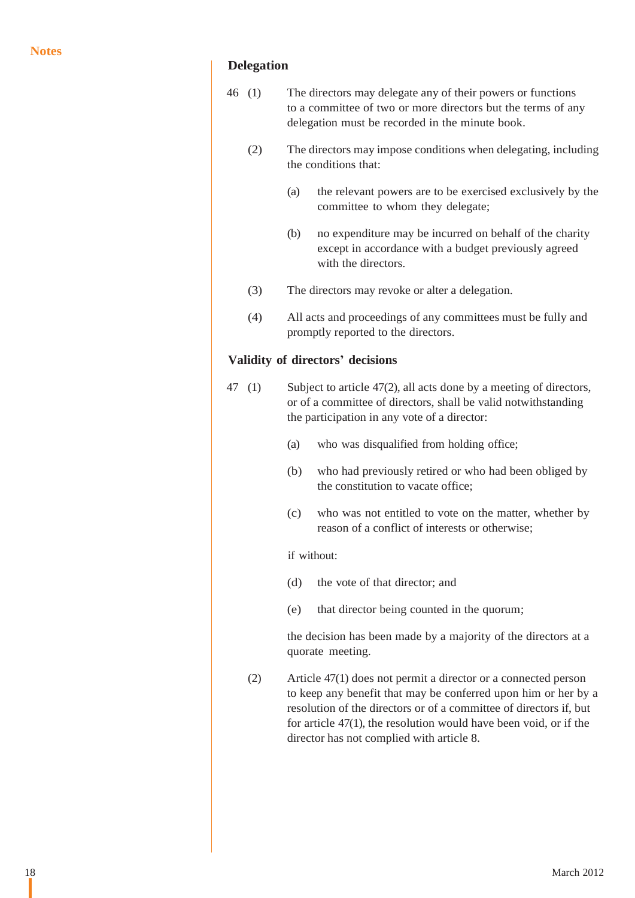## **Delegation**

- 46 (1) The directors may delegate any of their powers or functions to a committee of two or more directors but the terms of any delegation must be recorded in the minute book.
	- (2) The directors may impose conditions when delegating, including the conditions that:
		- (a) the relevant powers are to be exercised exclusively by the committee to whom they delegate;
		- (b) no expenditure may be incurred on behalf of the charity except in accordance with a budget previously agreed with the directors.
	- (3) The directors may revoke or alter a delegation.
	- (4) All acts and proceedings of any committees must be fully and promptly reported to the directors.

## **Validity of directors' decisions**

- 47 (1) Subject to article 47(2), all acts done by a meeting of directors, or of a committee of directors, shall be valid notwithstanding the participation in any vote of a director:
	- (a) who was disqualified from holding office;
	- (b) who had previously retired or who had been obliged by the constitution to vacate office;
	- (c) who was not entitled to vote on the matter, whether by reason of a conflict of interests or otherwise;

### if without:

- (d) the vote of that director; and
- (e) that director being counted in the quorum;

the decision has been made by a majority of the directors at a quorate meeting.

(2) Article 47(1) does not permit a director or a connected person to keep any benefit that may be conferred upon him or her by a resolution of the directors or of a committee of directors if, but for article 47(1), the resolution would have been void, or if the director has not complied with article 8.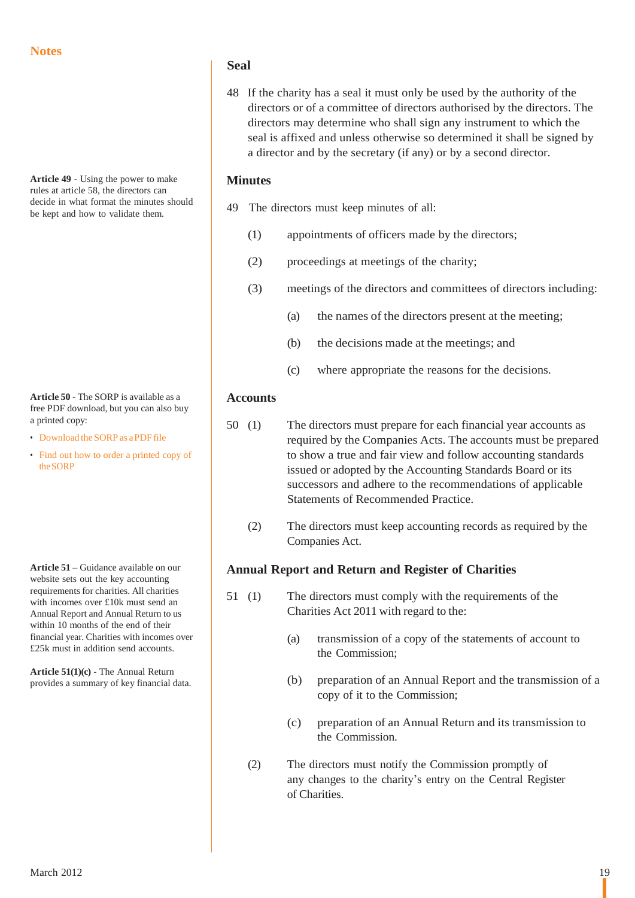**Article 49** - Using the power to make rules at article 58, the directors can decide in what format the minutes should be kept and how to validate them.

**Article 50** - The SORP is available as a free PDF download, but you can also buy a printed copy:

- [Download](http://www.charitycommission.gov.uk/Library/guidance/sorp05textcolour.pdf) the SORP as aPDFfile
- [Find out](http://www.charitycommission.gov.uk/Charity_requirements_guidance/Accounting_and_reporting/Preparing_charity_accounts/Printed_SORP.aspx) how to order a printed copy of the [SORP](http://www.charitycommission.gov.uk/Charity_requirements_guidance/Accounting_and_reporting/Preparing_charity_accounts/Printed_SORP.aspx)

**Article 51** – Guidance available on our website sets out the key accounting requirements for charities. All charities with incomes over £10k must send an Annual Report and Annual Return to us within 10 months of the end of their financial year. Charities with incomes over £25k must in addition send accounts.

**Article 51(1)(c)** - The Annual Return provides a summary of key financial data.

### **Seal**

48 If the charity has a seal it must only be used by the authority of the directors or of a committee of directors authorised by the directors. The directors may determine who shall sign any instrument to which the seal is affixed and unless otherwise so determined it shall be signed by a director and by the secretary (if any) or by a second director.

## **Minutes**

- 49 The directors must keep minutes of all:
	- (1) appointments of officers made by the directors;
	- (2) proceedings at meetings of the charity;
	- (3) meetings of the directors and committees of directors including:
		- (a) the names of the directors present at the meeting;
		- (b) the decisions made at the meetings; and
		- (c) where appropriate the reasons for the decisions.

### **Accounts**

- 50 (1) The directors must prepare for each financial year accounts as required by the Companies Acts. The accounts must be prepared to show a true and fair view and follow accounting standards issued or adopted by the Accounting Standards Board or its successors and adhere to the recommendations of applicable Statements of Recommended Practice.
	- (2) The directors must keep accounting records as required by the Companies Act.

## **Annual Report and Return and Register of Charities**

- 51 (1) The directors must comply with the requirements of the Charities Act 2011 with regard to the:
	- (a) transmission of a copy of the statements of account to the Commission;
	- (b) preparation of an Annual Report and the transmission of a copy of it to the Commission;
	- (c) preparation of an Annual Return and its transmission to the Commission.
	- (2) The directors must notify the Commission promptly of any changes to the charity's entry on the Central Register of Charities.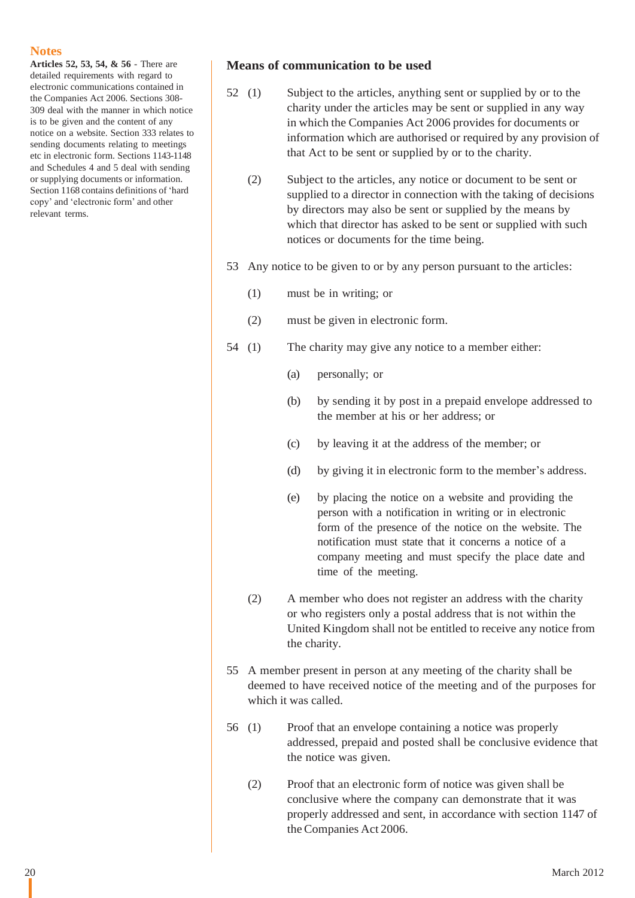**Articles 52, 53, 54, & 56** - There are detailed requirements with regard to electronic communications contained in the Companies Act 2006. Sections 308- 309 deal with the manner in which notice is to be given and the content of any notice on a website. Section 333 relates to sending documents relating to meetings etc in electronic form. Sections 1143-1148 and Schedules 4 and 5 deal with sending or supplying documents or information. Section 1168 contains definitions of 'hard copy' and 'electronic form' and other relevant terms.

### **Means of communication to be used**

- 52 (1) Subject to the articles, anything sent or supplied by or to the charity under the articles may be sent or supplied in any way in which the Companies Act 2006 provides for documents or information which are authorised or required by any provision of that Act to be sent or supplied by or to the charity.
	- (2) Subject to the articles, any notice or document to be sent or supplied to a director in connection with the taking of decisions by directors may also be sent or supplied by the means by which that director has asked to be sent or supplied with such notices or documents for the time being.
- 53 Any notice to be given to or by any person pursuant to the articles:
	- (1) must be in writing; or
	- (2) must be given in electronic form.
- 54 (1) The charity may give any notice to a member either:
	- (a) personally; or
	- (b) by sending it by post in a prepaid envelope addressed to the member at his or her address; or
	- (c) by leaving it at the address of the member; or
	- (d) by giving it in electronic form to the member's address.
	- (e) by placing the notice on a website and providing the person with a notification in writing or in electronic form of the presence of the notice on the website. The notification must state that it concerns a notice of a company meeting and must specify the place date and time of the meeting.
	- (2) A member who does not register an address with the charity or who registers only a postal address that is not within the United Kingdom shall not be entitled to receive any notice from the charity.
- 55 A member present in person at any meeting of the charity shall be deemed to have received notice of the meeting and of the purposes for which it was called.
- 56 (1) Proof that an envelope containing a notice was properly addressed, prepaid and posted shall be conclusive evidence that the notice was given.
	- (2) Proof that an electronic form of notice was given shall be conclusive where the company can demonstrate that it was properly addressed and sent, in accordance with section 1147 of the Companies Act 2006.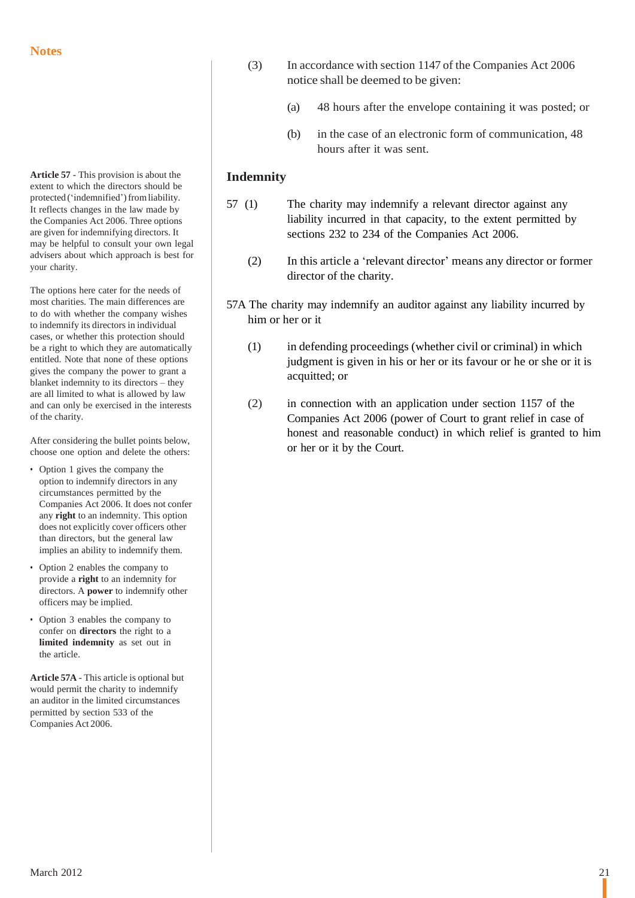**Article 57** - This provision is about the extent to which the directors should be protected ('indemnified') from liability. It reflects changes in the law made by the Companies Act 2006. Three options are given for indemnifying directors. It may be helpful to consult your own legal advisers about which approach is best for your charity.

The options here cater for the needs of most charities. The main differences are to do with whether the company wishes to indemnify its directors in individual cases, or whether this protection should be a right to which they are automatically entitled. Note that none of these options gives the company the power to grant a blanket indemnity to its directors – they are all limited to what is allowed by law and can only be exercised in the interests of the charity.

After considering the bullet points below, choose one option and delete the others:

- Option 1 gives the company the option to indemnify directors in any circumstances permitted by the Companies Act 2006. It does not confer any **right** to an indemnity. This option does not explicitly cover officers other than directors, but the general law implies an ability to indemnify them.
- Option 2 enables the company to provide a **right** to an indemnity for directors. A **power** to indemnify other officers may be implied.
- Option 3 enables the company to confer on **directors** the right to a **limited indemnity** as set out in the article.

**Article 57A** - This article is optional but would permit the charity to indemnify an auditor in the limited circumstances permitted by section 533 of the Companies Act 2006.

- (3) In accordance with section 1147 of the Companies Act 2006 notice shall be deemed to be given:
	- (a) 48 hours after the envelope containing it was posted; or
	- (b) in the case of an electronic form of communication, 48 hours after it was sent.

## **Indemnity**

- 57 (1) The charity may indemnify a relevant director against any liability incurred in that capacity, to the extent permitted by sections 232 to 234 of the Companies Act 2006.
	- (2) In this article a 'relevant director' means any director or former director of the charity.
- 57A The charity may indemnify an auditor against any liability incurred by him or her or it
	- (1) in defending proceedings (whether civil or criminal) in which judgment is given in his or her or its favour or he or she or it is acquitted; or
	- (2) in connection with an application under section 1157 of the Companies Act 2006 (power of Court to grant relief in case of honest and reasonable conduct) in which relief is granted to him or her or it by the Court.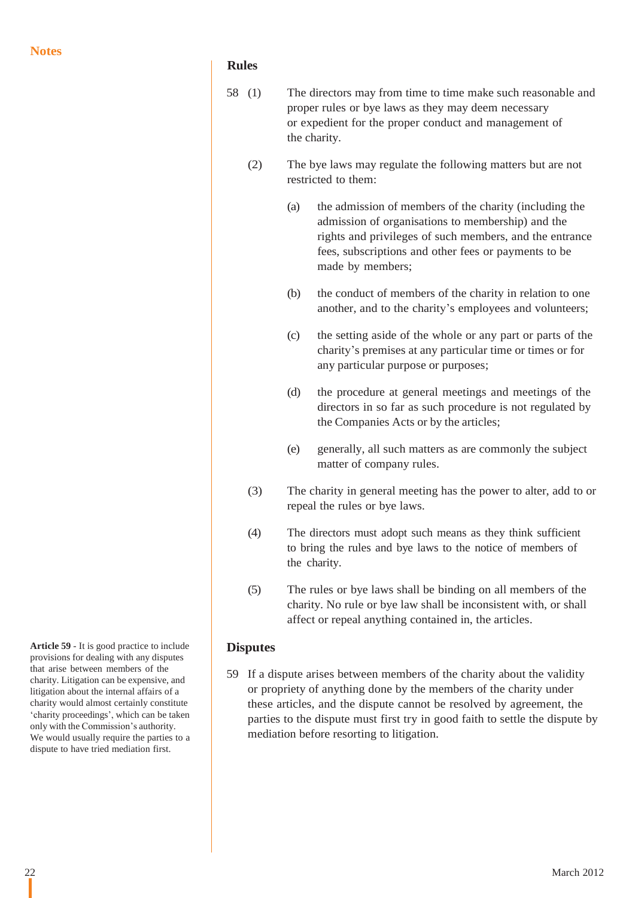## **Rules**

- 58 (1) The directors may from time to time make such reasonable and proper rules or bye laws as they may deem necessary or expedient for the proper conduct and management of the charity.
	- (2) The bye laws may regulate the following matters but are not restricted to them:
		- (a) the admission of members of the charity (including the admission of organisations to membership) and the rights and privileges of such members, and the entrance fees, subscriptions and other fees or payments to be made by members;
		- (b) the conduct of members of the charity in relation to one another, and to the charity's employees and volunteers;
		- (c) the setting aside of the whole or any part or parts of the charity's premises at any particular time or times or for any particular purpose or purposes;
		- (d) the procedure at general meetings and meetings of the directors in so far as such procedure is not regulated by the Companies Acts or by the articles;
		- (e) generally, all such matters as are commonly the subject matter of company rules.
	- (3) The charity in general meeting has the power to alter, add to or repeal the rules or bye laws.
	- (4) The directors must adopt such means as they think sufficient to bring the rules and bye laws to the notice of members of the charity.
	- (5) The rules or bye laws shall be binding on all members of the charity. No rule or bye law shall be inconsistent with, or shall affect or repeal anything contained in, the articles.

## **Disputes**

59 If a dispute arises between members of the charity about the validity or propriety of anything done by the members of the charity under these articles, and the dispute cannot be resolved by agreement, the parties to the dispute must first try in good faith to settle the dispute by mediation before resorting to litigation.

**Article 59** - It is good practice to include provisions for dealing with any disputes that arise between members of the charity. Litigation can be expensive, and litigation about the internal affairs of a charity would almost certainly constitute 'charity proceedings', which can be taken only with the Commission's authority. We would usually require the parties to a dispute to have tried mediation first.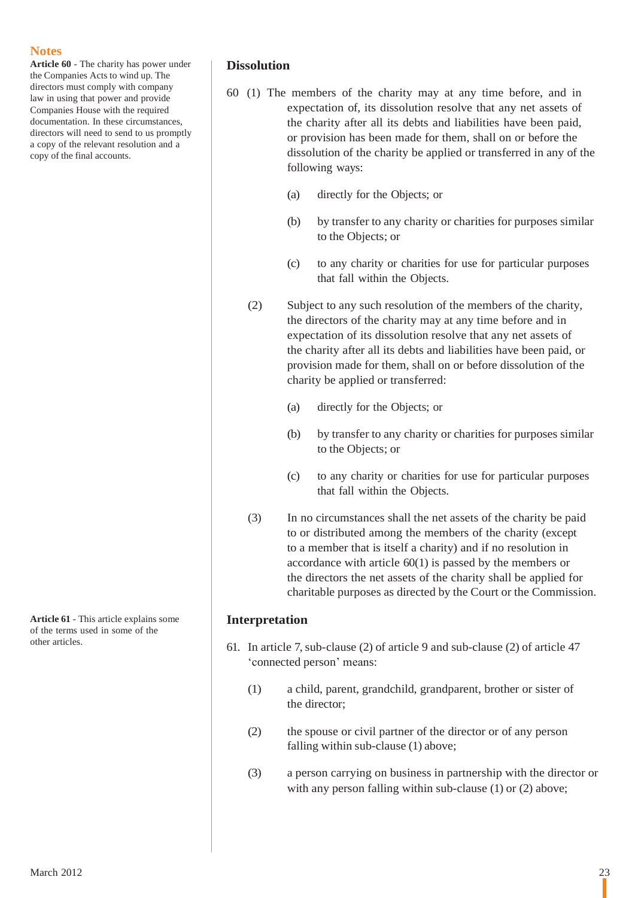**Article 60** - The charity has power under the Companies Acts to wind up. The directors must comply with company law in using that power and provide Companies House with the required documentation. In these circumstances, directors will need to send to us promptly a copy of the relevant resolution and a copy of the final accounts.

**Article 61** - This article explains some of the terms used in some of the other articles.

## **Dissolution**

- 60 (1) The members of the charity may at any time before, and in expectation of, its dissolution resolve that any net assets of the charity after all its debts and liabilities have been paid, or provision has been made for them, shall on or before the dissolution of the charity be applied or transferred in any of the following ways:
	- (a) directly for the Objects; or
	- (b) by transfer to any charity or charities for purposes similar to the Objects; or
	- (c) to any charity or charities for use for particular purposes that fall within the Objects.
	- (2) Subject to any such resolution of the members of the charity, the directors of the charity may at any time before and in expectation of its dissolution resolve that any net assets of the charity after all its debts and liabilities have been paid, or provision made for them, shall on or before dissolution of the charity be applied or transferred:
		- (a) directly for the Objects; or
		- (b) by transfer to any charity or charities for purposes similar to the Objects; or
		- (c) to any charity or charities for use for particular purposes that fall within the Objects.
	- (3) In no circumstances shall the net assets of the charity be paid to or distributed among the members of the charity (except to a member that is itself a charity) and if no resolution in accordance with article 60(1) is passed by the members or the directors the net assets of the charity shall be applied for charitable purposes as directed by the Court or the Commission.

## **Interpretation**

- 61. In article 7,sub-clause (2) of article 9 and sub-clause (2) of article 47 'connected person' means:
	- (1) a child, parent, grandchild, grandparent, brother or sister of the director;
	- (2) the spouse or civil partner of the director or of any person falling within sub-clause (1) above;
	- (3) a person carrying on business in partnership with the director or with any person falling within sub-clause (1) or (2) above;